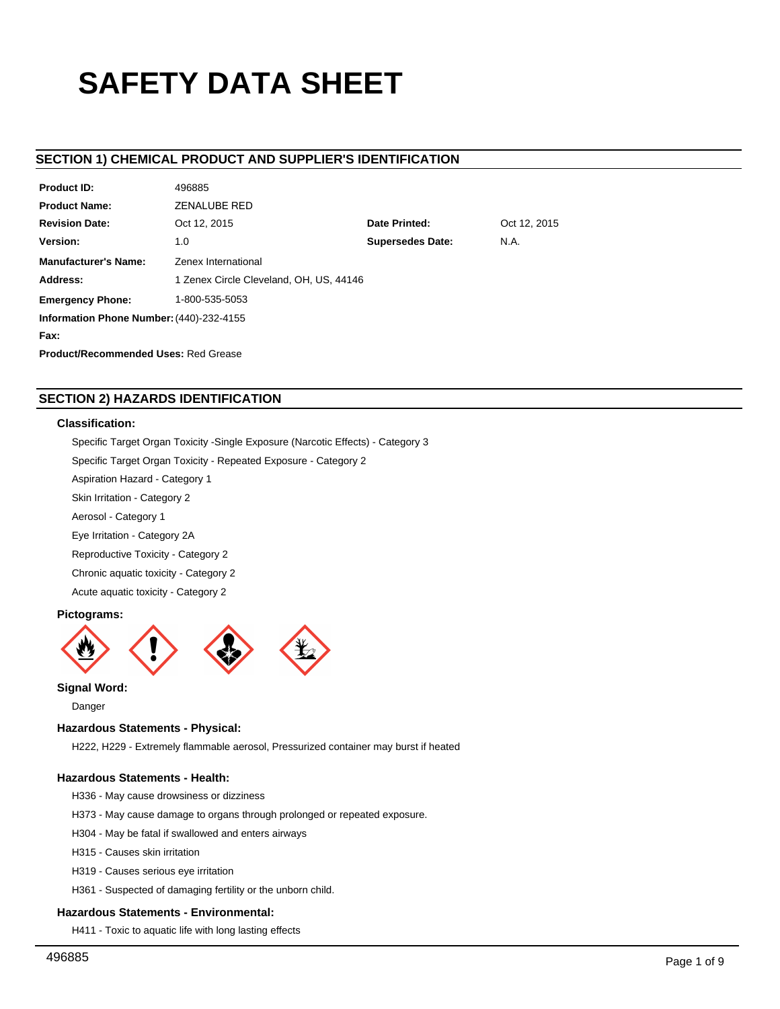# **SAFETY DATA SHEET**

# **SECTION 1) CHEMICAL PRODUCT AND SUPPLIER'S IDENTIFICATION**

| <b>Product ID:</b>                          | 496885                                  |                               |  |  |  |  |
|---------------------------------------------|-----------------------------------------|-------------------------------|--|--|--|--|
| <b>Product Name:</b>                        | <b>ZENALUBE RED</b>                     |                               |  |  |  |  |
| <b>Revision Date:</b>                       | Oct 12, 2015                            | Date Printed:<br>Oct 12, 2015 |  |  |  |  |
| Version:                                    | <b>Supersedes Date:</b><br>N.A.<br>1.0  |                               |  |  |  |  |
| <b>Manufacturer's Name:</b>                 | Zenex International                     |                               |  |  |  |  |
| Address:                                    | 1 Zenex Circle Cleveland, OH, US, 44146 |                               |  |  |  |  |
| <b>Emergency Phone:</b>                     | 1-800-535-5053                          |                               |  |  |  |  |
| Information Phone Number: (440)-232-4155    |                                         |                               |  |  |  |  |
| Fax:                                        |                                         |                               |  |  |  |  |
| <b>Product/Recommended Uses: Red Grease</b> |                                         |                               |  |  |  |  |

# **SECTION 2) HAZARDS IDENTIFICATION**

# **Classification:**

Specific Target Organ Toxicity -Single Exposure (Narcotic Effects) - Category 3

Specific Target Organ Toxicity - Repeated Exposure - Category 2

Aspiration Hazard - Category 1

Skin Irritation - Category 2

Aerosol - Category 1

Eye Irritation - Category 2A

Reproductive Toxicity - Category 2

Chronic aquatic toxicity - Category 2

Acute aquatic toxicity - Category 2

# **Pictograms:**



# **Signal Word:**

Danger

# **Hazardous Statements - Physical:**

H222, H229 - Extremely flammable aerosol, Pressurized container may burst if heated

# **Hazardous Statements - Health:**

- H336 May cause drowsiness or dizziness
- H373 May cause damage to organs through prolonged or repeated exposure.
- H304 May be fatal if swallowed and enters airways
- H315 Causes skin irritation
- H319 Causes serious eye irritation
- H361 Suspected of damaging fertility or the unborn child.

## **Hazardous Statements - Environmental:**

H411 - Toxic to aquatic life with long lasting effects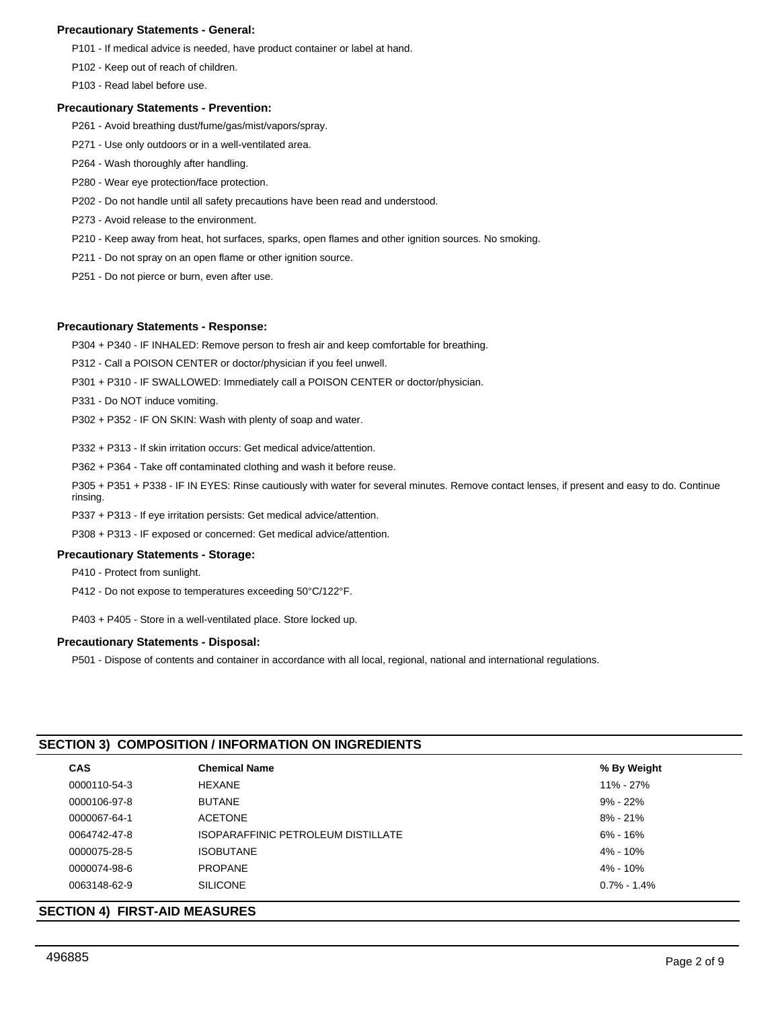# **Precautionary Statements - General:**

P101 - If medical advice is needed, have product container or label at hand.

P102 - Keep out of reach of children.

P103 - Read label before use.

## **Precautionary Statements - Prevention:**

- P261 Avoid breathing dust/fume/gas/mist/vapors/spray.
- P271 Use only outdoors or in a well-ventilated area.
- P264 Wash thoroughly after handling.
- P280 Wear eye protection/face protection.
- P202 Do not handle until all safety precautions have been read and understood.
- P273 Avoid release to the environment.
- P210 Keep away from heat, hot surfaces, sparks, open flames and other ignition sources. No smoking.
- P211 Do not spray on an open flame or other ignition source.
- P251 Do not pierce or burn, even after use.

#### **Precautionary Statements - Response:**

P304 + P340 - IF INHALED: Remove person to fresh air and keep comfortable for breathing.

- P312 Call a POISON CENTER or doctor/physician if you feel unwell.
- P301 + P310 IF SWALLOWED: Immediately call a POISON CENTER or doctor/physician.

P331 - Do NOT induce vomiting.

P302 + P352 - IF ON SKIN: Wash with plenty of soap and water.

P332 + P313 - If skin irritation occurs: Get medical advice/attention.

P362 + P364 - Take off contaminated clothing and wash it before reuse.

P305 + P351 + P338 - IF IN EYES: Rinse cautiously with water for several minutes. Remove contact lenses, if present and easy to do. Continue rinsing.

P337 + P313 - If eye irritation persists: Get medical advice/attention.

P308 + P313 - IF exposed or concerned: Get medical advice/attention.

# **Precautionary Statements - Storage:**

P410 - Protect from sunlight.

P412 - Do not expose to temperatures exceeding 50°C/122°F.

P403 + P405 - Store in a well-ventilated place. Store locked up.

#### **Precautionary Statements - Disposal:**

P501 - Dispose of contents and container in accordance with all local, regional, national and international regulations.

# **SECTION 3) COMPOSITION / INFORMATION ON INGREDIENTS**

| <b>CAS</b>   | <b>Chemical Name</b>               | % By Weight    |
|--------------|------------------------------------|----------------|
| 0000110-54-3 | <b>HEXANE</b>                      | 11% - 27%      |
| 0000106-97-8 | <b>BUTANE</b>                      | $9\% - 22\%$   |
| 0000067-64-1 | <b>ACETONE</b>                     | $8\% - 21\%$   |
| 0064742-47-8 | ISOPARAFFINIC PETROLEUM DISTILLATE | 6% - 16%       |
| 0000075-28-5 | <b>ISOBUTANE</b>                   | $4\% - 10\%$   |
| 0000074-98-6 | <b>PROPANE</b>                     | 4% - 10%       |
| 0063148-62-9 | <b>SILICONE</b>                    | $0.7\%$ - 1.4% |
|              |                                    |                |

## **SECTION 4) FIRST-AID MEASURES**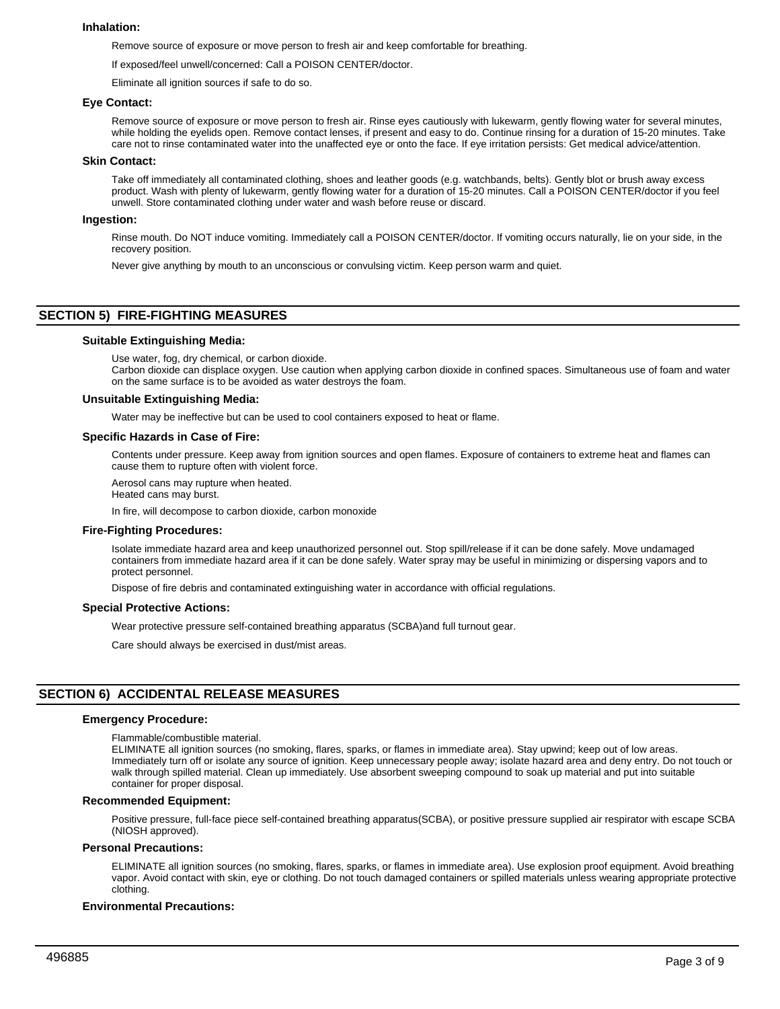#### **Inhalation:**

Remove source of exposure or move person to fresh air and keep comfortable for breathing.

If exposed/feel unwell/concerned: Call a POISON CENTER/doctor.

Eliminate all ignition sources if safe to do so.

#### **Eye Contact:**

Remove source of exposure or move person to fresh air. Rinse eyes cautiously with lukewarm, gently flowing water for several minutes, while holding the eyelids open. Remove contact lenses, if present and easy to do. Continue rinsing for a duration of 15-20 minutes. Take care not to rinse contaminated water into the unaffected eye or onto the face. If eye irritation persists: Get medical advice/attention.

#### **Skin Contact:**

Take off immediately all contaminated clothing, shoes and leather goods (e.g. watchbands, belts). Gently blot or brush away excess product. Wash with plenty of lukewarm, gently flowing water for a duration of 15-20 minutes. Call a POISON CENTER/doctor if you feel unwell. Store contaminated clothing under water and wash before reuse or discard.

#### **Ingestion:**

Rinse mouth. Do NOT induce vomiting. Immediately call a POISON CENTER/doctor. If vomiting occurs naturally, lie on your side, in the recovery position.

Never give anything by mouth to an unconscious or convulsing victim. Keep person warm and quiet.

# **SECTION 5) FIRE-FIGHTING MEASURES**

#### **Suitable Extinguishing Media:**

Use water, fog, dry chemical, or carbon dioxide.

Carbon dioxide can displace oxygen. Use caution when applying carbon dioxide in confined spaces. Simultaneous use of foam and water on the same surface is to be avoided as water destroys the foam.

#### **Unsuitable Extinguishing Media:**

Water may be ineffective but can be used to cool containers exposed to heat or flame.

#### **Specific Hazards in Case of Fire:**

Contents under pressure. Keep away from ignition sources and open flames. Exposure of containers to extreme heat and flames can cause them to rupture often with violent force.

Aerosol cans may rupture when heated.

Heated cans may burst.

In fire, will decompose to carbon dioxide, carbon monoxide

#### **Fire-Fighting Procedures:**

Isolate immediate hazard area and keep unauthorized personnel out. Stop spill/release if it can be done safely. Move undamaged containers from immediate hazard area if it can be done safely. Water spray may be useful in minimizing or dispersing vapors and to protect personnel.

Dispose of fire debris and contaminated extinguishing water in accordance with official regulations.

#### **Special Protective Actions:**

Wear protective pressure self-contained breathing apparatus (SCBA)and full turnout gear.

Care should always be exercised in dust/mist areas.

# **SECTION 6) ACCIDENTAL RELEASE MEASURES**

#### **Emergency Procedure:**

Flammable/combustible material.

ELIMINATE all ignition sources (no smoking, flares, sparks, or flames in immediate area). Stay upwind; keep out of low areas. Immediately turn off or isolate any source of ignition. Keep unnecessary people away; isolate hazard area and deny entry. Do not touch or walk through spilled material. Clean up immediately. Use absorbent sweeping compound to soak up material and put into suitable container for proper disposal.

#### **Recommended Equipment:**

Positive pressure, full-face piece self-contained breathing apparatus(SCBA), or positive pressure supplied air respirator with escape SCBA (NIOSH approved).

#### **Personal Precautions:**

ELIMINATE all ignition sources (no smoking, flares, sparks, or flames in immediate area). Use explosion proof equipment. Avoid breathing vapor. Avoid contact with skin, eye or clothing. Do not touch damaged containers or spilled materials unless wearing appropriate protective clothing.

#### **Environmental Precautions:**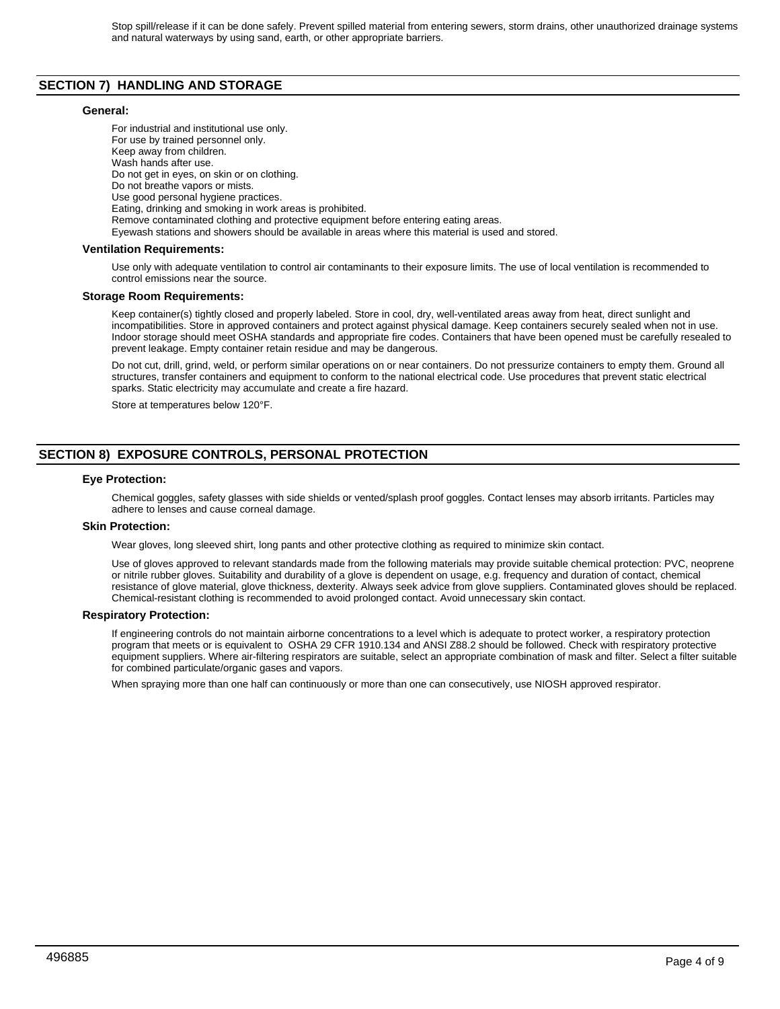# **SECTION 7) HANDLING AND STORAGE**

#### **General:**

For industrial and institutional use only. For use by trained personnel only. Keep away from children. Wash hands after use. Do not get in eyes, on skin or on clothing. Do not breathe vapors or mists. Use good personal hygiene practices. Eating, drinking and smoking in work areas is prohibited. Remove contaminated clothing and protective equipment before entering eating areas. Eyewash stations and showers should be available in areas where this material is used and stored.

## **Ventilation Requirements:**

Use only with adequate ventilation to control air contaminants to their exposure limits. The use of local ventilation is recommended to control emissions near the source.

#### **Storage Room Requirements:**

Keep container(s) tightly closed and properly labeled. Store in cool, dry, well-ventilated areas away from heat, direct sunlight and incompatibilities. Store in approved containers and protect against physical damage. Keep containers securely sealed when not in use. Indoor storage should meet OSHA standards and appropriate fire codes. Containers that have been opened must be carefully resealed to prevent leakage. Empty container retain residue and may be dangerous.

Do not cut, drill, grind, weld, or perform similar operations on or near containers. Do not pressurize containers to empty them. Ground all structures, transfer containers and equipment to conform to the national electrical code. Use procedures that prevent static electrical sparks. Static electricity may accumulate and create a fire hazard.

Store at temperatures below 120°F.

# **SECTION 8) EXPOSURE CONTROLS, PERSONAL PROTECTION**

#### **Eye Protection:**

Chemical goggles, safety glasses with side shields or vented/splash proof goggles. Contact lenses may absorb irritants. Particles may adhere to lenses and cause corneal damage.

#### **Skin Protection:**

Wear gloves, long sleeved shirt, long pants and other protective clothing as required to minimize skin contact.

Use of gloves approved to relevant standards made from the following materials may provide suitable chemical protection: PVC, neoprene or nitrile rubber gloves. Suitability and durability of a glove is dependent on usage, e.g. frequency and duration of contact, chemical resistance of glove material, glove thickness, dexterity. Always seek advice from glove suppliers. Contaminated gloves should be replaced. Chemical-resistant clothing is recommended to avoid prolonged contact. Avoid unnecessary skin contact.

#### **Respiratory Protection:**

If engineering controls do not maintain airborne concentrations to a level which is adequate to protect worker, a respiratory protection program that meets or is equivalent to OSHA 29 CFR 1910.134 and ANSI Z88.2 should be followed. Check with respiratory protective equipment suppliers. Where air-filtering respirators are suitable, select an appropriate combination of mask and filter. Select a filter suitable for combined particulate/organic gases and vapors.

When spraying more than one half can continuously or more than one can consecutively, use NIOSH approved respirator.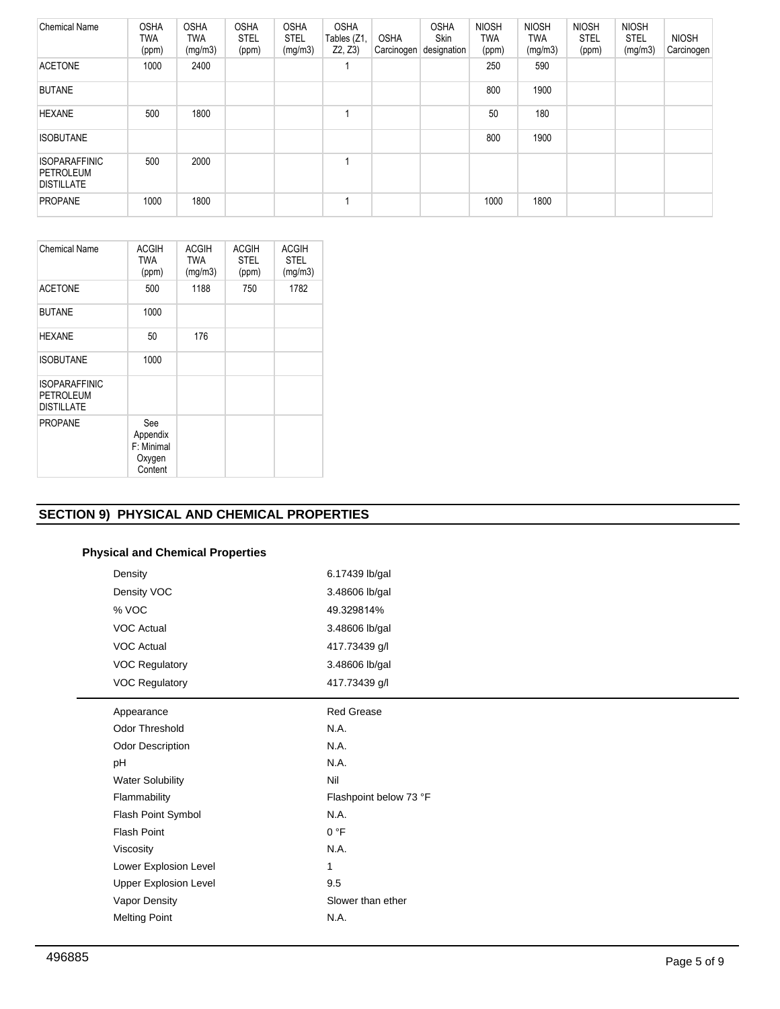| <b>Chemical Name</b>                                   | <b>OSHA</b><br>TWA<br>(ppm) | <b>OSHA</b><br><b>TWA</b><br>(mg/m3) | <b>OSHA</b><br><b>STEL</b><br>(ppm) | <b>OSHA</b><br><b>STEL</b><br>(mg/m3) | <b>OSHA</b><br>Tables (Z1,<br>Z2, Z3) | <b>OSHA</b><br>Carcinogen | <b>OSHA</b><br><b>Skin</b><br>designation | <b>NIOSH</b><br>TWA<br>(ppm) | <b>NIOSH</b><br>TWA<br>(mg/m3) | <b>NIOSH</b><br><b>STEL</b><br>(ppm) | <b>NIOSH</b><br><b>STEL</b><br>(mg/m3) | <b>NIOSH</b><br>Carcinogen |
|--------------------------------------------------------|-----------------------------|--------------------------------------|-------------------------------------|---------------------------------------|---------------------------------------|---------------------------|-------------------------------------------|------------------------------|--------------------------------|--------------------------------------|----------------------------------------|----------------------------|
| <b>ACETONE</b>                                         | 1000                        | 2400                                 |                                     |                                       |                                       |                           |                                           | 250                          | 590                            |                                      |                                        |                            |
| <b>BUTANE</b>                                          |                             |                                      |                                     |                                       |                                       |                           |                                           | 800                          | 1900                           |                                      |                                        |                            |
| <b>HEXANE</b>                                          | 500                         | 1800                                 |                                     |                                       |                                       |                           |                                           | 50                           | 180                            |                                      |                                        |                            |
| <b>ISOBUTANE</b>                                       |                             |                                      |                                     |                                       |                                       |                           |                                           | 800                          | 1900                           |                                      |                                        |                            |
| <b>ISOPARAFFINIC</b><br>PETROLEUM<br><b>DISTILLATE</b> | 500                         | 2000                                 |                                     |                                       |                                       |                           |                                           |                              |                                |                                      |                                        |                            |
| <b>PROPANE</b>                                         | 1000                        | 1800                                 |                                     |                                       |                                       |                           |                                           | 1000                         | 1800                           |                                      |                                        |                            |

| <b>Chemical Name</b>                                          | <b>ACGIH</b><br>TWA                                | <b>ACGIH</b><br><b>TWA</b> | <b>ACGIH</b><br><b>STEL</b> | <b>ACGIH</b><br><b>STEL</b> |
|---------------------------------------------------------------|----------------------------------------------------|----------------------------|-----------------------------|-----------------------------|
|                                                               | (ppm)                                              | (mg/m3)                    | (ppm)                       | (mg/m3)                     |
| <b>ACETONE</b>                                                | 500                                                | 1188                       | 750                         | 1782                        |
| <b>BUTANE</b>                                                 | 1000                                               |                            |                             |                             |
| <b>HEXANE</b>                                                 | 50                                                 | 176                        |                             |                             |
| <b>ISOBUTANE</b>                                              | 1000                                               |                            |                             |                             |
| <b>ISOPARAFFINIC</b><br><b>PETROLEUM</b><br><b>DISTILLATE</b> |                                                    |                            |                             |                             |
| <b>PROPANE</b>                                                | See<br>Appendix<br>F: Minimal<br>Oxygen<br>Content |                            |                             |                             |

# **SECTION 9) PHYSICAL AND CHEMICAL PROPERTIES**

# **Physical and Chemical Properties**

| Density                      | 6.17439 lb/gal         |
|------------------------------|------------------------|
| Density VOC                  | 3.48606 lb/gal         |
| % VOC                        | 49.329814%             |
| <b>VOC Actual</b>            | 3.48606 lb/gal         |
| <b>VOC Actual</b>            | 417.73439 g/l          |
| <b>VOC Regulatory</b>        | 3.48606 lb/gal         |
| <b>VOC Regulatory</b>        | 417.73439 g/l          |
| Appearance                   | <b>Red Grease</b>      |
| Odor Threshold               | N.A.                   |
| Odor Description             | N.A.                   |
| pH                           | N.A.                   |
| <b>Water Solubility</b>      | Nil                    |
| Flammability                 | Flashpoint below 73 °F |
| Flash Point Symbol           | N.A.                   |
| <b>Flash Point</b>           | 0 °F                   |
| Viscosity                    | N.A.                   |
| Lower Explosion Level        | $\mathbf{1}$           |
| <b>Upper Explosion Level</b> | 9.5                    |
| Vapor Density                | Slower than ether      |
| <b>Melting Point</b>         | N.A.                   |
|                              |                        |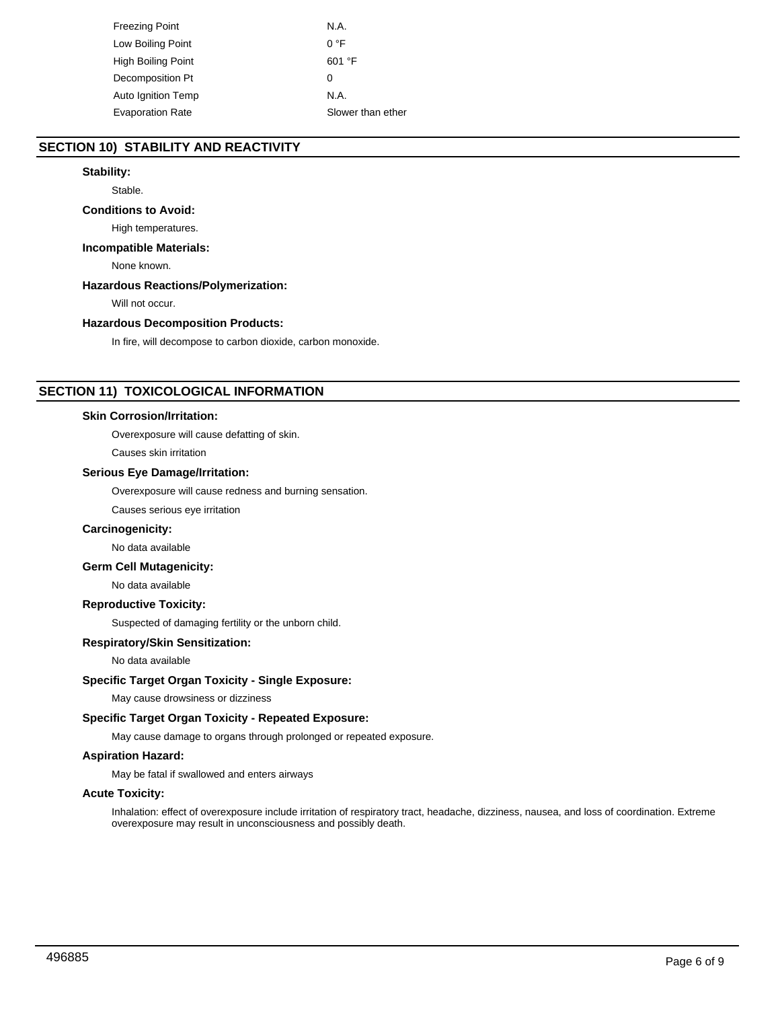| Freezing Point          | N.A.              |
|-------------------------|-------------------|
| Low Boiling Point       | 0 °F              |
| High Boiling Point      | 601 °F            |
| Decomposition Pt        | 0                 |
| Auto Ignition Temp      | N.A.              |
| <b>Evaporation Rate</b> | Slower than ether |

# **SECTION 10) STABILITY AND REACTIVITY**

## **Stability:**

Stable.

# **Conditions to Avoid:**

High temperatures.

# **Incompatible Materials:**

None known.

## **Hazardous Reactions/Polymerization:**

Will not occur.

# **Hazardous Decomposition Products:**

In fire, will decompose to carbon dioxide, carbon monoxide.

# **SECTION 11) TOXICOLOGICAL INFORMATION**

#### **Skin Corrosion/Irritation:**

Overexposure will cause defatting of skin.

Causes skin irritation

# **Serious Eye Damage/Irritation:**

Overexposure will cause redness and burning sensation.

Causes serious eye irritation

#### **Carcinogenicity:**

No data available

# **Germ Cell Mutagenicity:**

No data available

# **Reproductive Toxicity:**

Suspected of damaging fertility or the unborn child.

#### **Respiratory/Skin Sensitization:**

No data available

# **Specific Target Organ Toxicity - Single Exposure:**

May cause drowsiness or dizziness

# **Specific Target Organ Toxicity - Repeated Exposure:**

May cause damage to organs through prolonged or repeated exposure.

# **Aspiration Hazard:**

May be fatal if swallowed and enters airways

# **Acute Toxicity:**

Inhalation: effect of overexposure include irritation of respiratory tract, headache, dizziness, nausea, and loss of coordination. Extreme overexposure may result in unconsciousness and possibly death.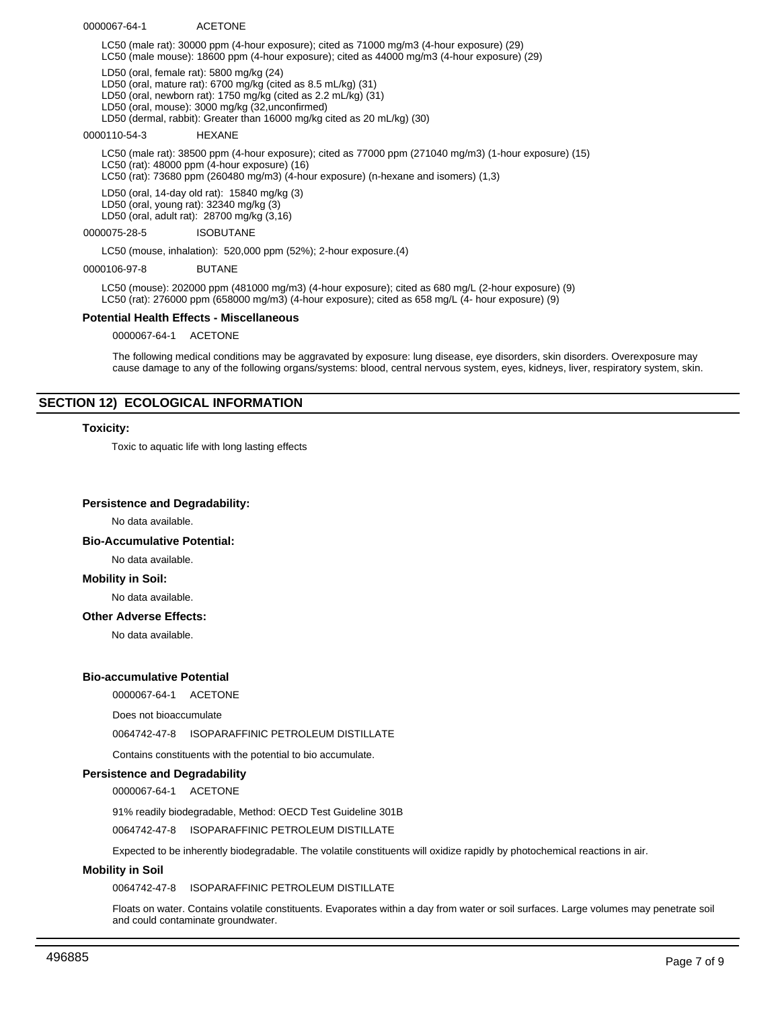0000067-64-1 ACETONE

LC50 (male rat): 30000 ppm (4-hour exposure); cited as 71000 mg/m3 (4-hour exposure) (29) LC50 (male mouse): 18600 ppm (4-hour exposure); cited as 44000 mg/m3 (4-hour exposure) (29)

LD50 (oral, female rat): 5800 mg/kg (24)

LD50 (oral, mature rat): 6700 mg/kg (cited as 8.5 mL/kg) (31)

LD50 (oral, newborn rat): 1750 mg/kg (cited as 2.2 mL/kg) (31)

LD50 (oral, mouse): 3000 mg/kg (32,unconfirmed)

LD50 (dermal, rabbit): Greater than 16000 mg/kg cited as 20 mL/kg) (30)

0000110-54-3 HEXANE

LC50 (male rat): 38500 ppm (4-hour exposure); cited as 77000 ppm (271040 mg/m3) (1-hour exposure) (15) LC50 (rat): 48000 ppm (4-hour exposure) (16) LC50 (rat): 73680 ppm (260480 mg/m3) (4-hour exposure) (n-hexane and isomers) (1,3)

LD50 (oral, 14-day old rat): 15840 mg/kg (3) LD50 (oral, young rat): 32340 mg/kg (3)

LD50 (oral, adult rat): 28700 mg/kg (3,16)

0000075-28-5 ISOBUTANE

LC50 (mouse, inhalation): 520,000 ppm (52%); 2-hour exposure.(4)

0000106-97-8 BUTANE

LC50 (mouse): 202000 ppm (481000 mg/m3) (4-hour exposure); cited as 680 mg/L (2-hour exposure) (9) LC50 (rat): 276000 ppm (658000 mg/m3) (4-hour exposure); cited as 658 mg/L (4- hour exposure) (9)

#### **Potential Health Effects - Miscellaneous**

0000067-64-1 ACETONE

The following medical conditions may be aggravated by exposure: lung disease, eye disorders, skin disorders. Overexposure may cause damage to any of the following organs/systems: blood, central nervous system, eyes, kidneys, liver, respiratory system, skin.

# **SECTION 12) ECOLOGICAL INFORMATION**

#### **Toxicity:**

Toxic to aquatic life with long lasting effects

#### **Persistence and Degradability:**

No data available.

#### **Bio-Accumulative Potential:**

No data available.

#### **Mobility in Soil:**

No data available.

### **Other Adverse Effects:**

No data available.

## **Bio-accumulative Potential**

0000067-64-1 ACETONE

Does not bioaccumulate

0064742-47-8 ISOPARAFFINIC PETROLEUM DISTILLATE

Contains constituents with the potential to bio accumulate.

#### **Persistence and Degradability**

0000067-64-1 ACETONE

91% readily biodegradable, Method: OECD Test Guideline 301B

0064742-47-8 ISOPARAFFINIC PETROLEUM DISTILLATE

Expected to be inherently biodegradable. The volatile constituents will oxidize rapidly by photochemical reactions in air.

#### **Mobility in Soil**

0064742-47-8 ISOPARAFFINIC PETROLEUM DISTILLATE

Floats on water. Contains volatile constituents. Evaporates within a day from water or soil surfaces. Large volumes may penetrate soil and could contaminate groundwater.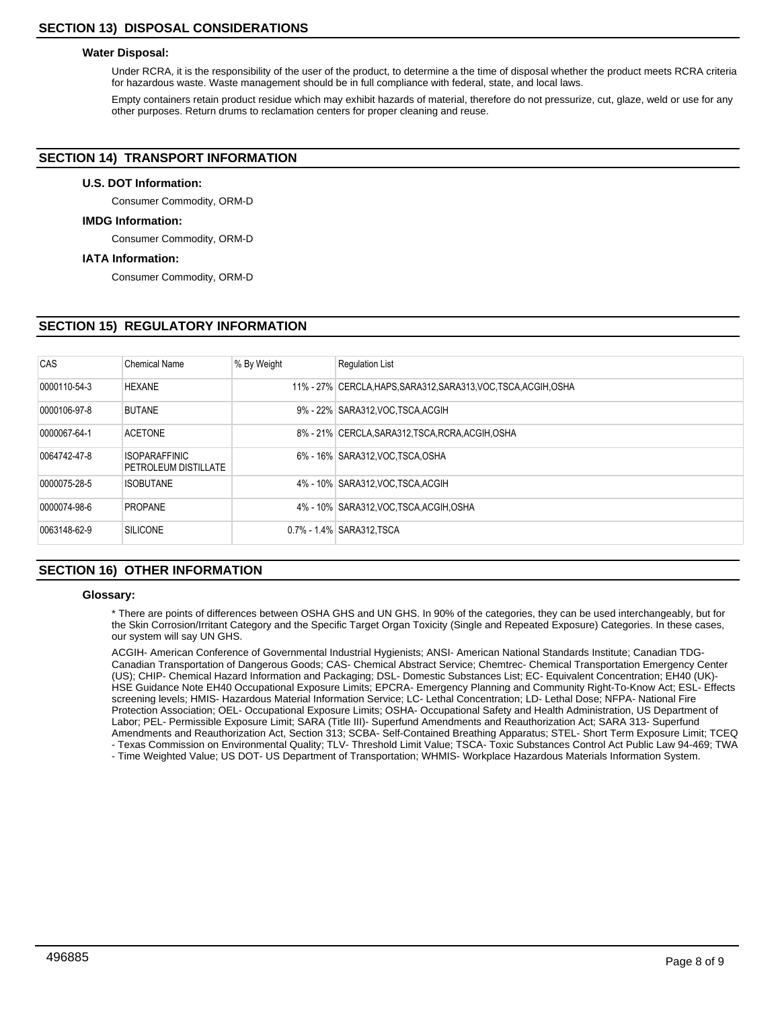## **Water Disposal:**

Under RCRA, it is the responsibility of the user of the product, to determine a the time of disposal whether the product meets RCRA criteria for hazardous waste. Waste management should be in full compliance with federal, state, and local laws.

Empty containers retain product residue which may exhibit hazards of material, therefore do not pressurize, cut, glaze, weld or use for any other purposes. Return drums to reclamation centers for proper cleaning and reuse.

# **SECTION 14) TRANSPORT INFORMATION**

## **U.S. DOT Information:**

Consumer Commodity, ORM-D

#### **IMDG Information:**

Consumer Commodity, ORM-D

#### **IATA Information:**

Consumer Commodity, ORM-D

# **SECTION 15) REGULATORY INFORMATION**

| CAS          | Chemical Name                                | % By Weight | <b>Requlation List</b>                                           |
|--------------|----------------------------------------------|-------------|------------------------------------------------------------------|
| 0000110-54-3 | <b>HEXANE</b>                                |             | 11% - 27% CERCLA, HAPS, SARA312, SARA313, VOC, TSCA, ACGIH, OSHA |
| 0000106-97-8 | <b>BUTANE</b>                                |             | 9% - 22% SARA312, VOC TSCA, ACGIH                                |
| 0000067-64-1 | <b>ACETONE</b>                               |             | 8% - 21% CERCLA, SARA312, TSCA, RCRA, ACGIH, OSHA                |
| 0064742-47-8 | <b>ISOPARAFFINIC</b><br>PETROLEUM DISTILLATE |             | 6% - 16% SARA312, VOC TSCA, OSHA                                 |
| 0000075-28-5 | <b>ISOBUTANE</b>                             |             | 4% - 10% SARA312, VOC TSCA, ACGIH                                |
| 0000074-98-6 | <b>PROPANE</b>                               |             | 4% - 10% SARA312, VOC, TSCA, ACGIH, OSHA                         |
| 0063148-62-9 | <b>SILICONE</b>                              |             | 0.7% - 1.4% SARA312, TSCA                                        |

# **SECTION 16) OTHER INFORMATION**

#### **Glossary:**

\* There are points of differences between OSHA GHS and UN GHS. In 90% of the categories, they can be used interchangeably, but for the Skin Corrosion/Irritant Category and the Specific Target Organ Toxicity (Single and Repeated Exposure) Categories. In these cases, our system will say UN GHS.

ACGIH- American Conference of Governmental Industrial Hygienists; ANSI- American National Standards Institute; Canadian TDG-Canadian Transportation of Dangerous Goods; CAS- Chemical Abstract Service; Chemtrec- Chemical Transportation Emergency Center (US); CHIP- Chemical Hazard Information and Packaging; DSL- Domestic Substances List; EC- Equivalent Concentration; EH40 (UK)- HSE Guidance Note EH40 Occupational Exposure Limits; EPCRA- Emergency Planning and Community Right-To-Know Act; ESL- Effects screening levels; HMIS- Hazardous Material Information Service; LC- Lethal Concentration; LD- Lethal Dose; NFPA- National Fire Protection Association; OEL- Occupational Exposure Limits; OSHA- Occupational Safety and Health Administration, US Department of Labor; PEL- Permissible Exposure Limit; SARA (Title III)- Superfund Amendments and Reauthorization Act; SARA 313- Superfund Amendments and Reauthorization Act, Section 313; SCBA- Self-Contained Breathing Apparatus; STEL- Short Term Exposure Limit; TCEQ - Texas Commission on Environmental Quality; TLV- Threshold Limit Value; TSCA- Toxic Substances Control Act Public Law 94-469; TWA

- Time Weighted Value; US DOT- US Department of Transportation; WHMIS- Workplace Hazardous Materials Information System.